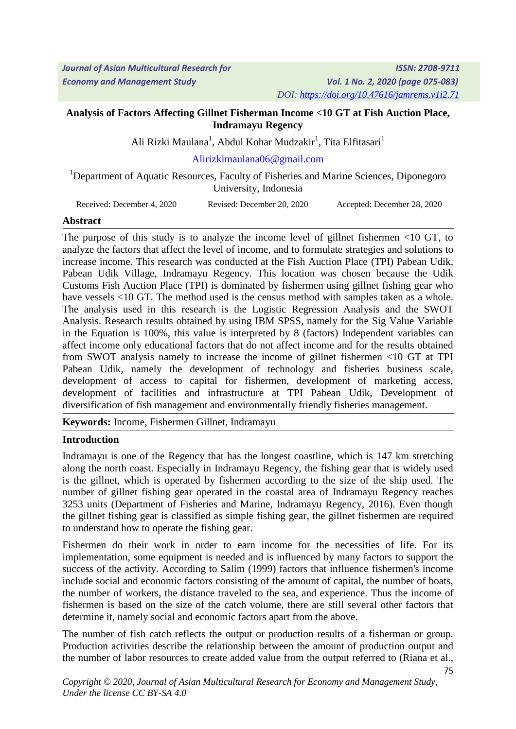### **Analysis of Factors Affecting Gillnet Fisherman Income <10 GT at Fish Auction Place, Indramayu Regency**

Ali Rizki Maulana<sup>1</sup>, Abdul Kohar Mudzakir<sup>1</sup>, Tita Elfitasari<sup>1</sup>

[Alirizkimaulana06@gmail.com](mailto:Alirizkimaulana06@gmail.com)

<sup>1</sup>Department of Aquatic Resources, Faculty of Fisheries and Marine Sciences, Diponegoro University, Indonesia

Received: December 4, 2020 Revised: December 20, 2020 Accepted: December 28, 2020

#### **Abstract**

The purpose of this study is to analyze the income level of gillnet fishermen <10 GT, to analyze the factors that affect the level of income, and to formulate strategies and solutions to increase income. This research was conducted at the Fish Auction Place (TPI) Pabean Udik, Pabean Udik Village, Indramayu Regency. This location was chosen because the Udik Customs Fish Auction Place (TPI) is dominated by fishermen using gillnet fishing gear who have vessels <10 GT. The method used is the census method with samples taken as a whole. The analysis used in this research is the Logistic Regression Analysis and the SWOT Analysis. Research results obtained by using IBM SPSS, namely for the Sig Value Variable in the Equation is 100%, this value is interpreted by 8 (factors) Independent variables can affect income only educational factors that do not affect income and for the results obtained from SWOT analysis namely to increase the income of gillnet fishermen <10 GT at TPI Pabean Udik, namely the development of technology and fisheries business scale, development of access to capital for fishermen, development of marketing access, development of facilities and infrastructure at TPI Pabean Udik, Development of diversification of fish management and environmentally friendly fisheries management.

**Keywords:** Income, Fishermen Gillnet, Indramayu

### **Introduction**

Indramayu is one of the Regency that has the longest coastline, which is 147 km stretching along the north coast. Especially in Indramayu Regency, the fishing gear that is widely used is the gillnet, which is operated by fishermen according to the size of the ship used. The number of gillnet fishing gear operated in the coastal area of Indramayu Regency reaches 3253 units (Department of Fisheries and Marine, Indramayu Regency, 2016). Even though the gillnet fishing gear is classified as simple fishing gear, the gillnet fishermen are required to understand how to operate the fishing gear.

Fishermen do their work in order to earn income for the necessities of life. For its implementation, some equipment is needed and is influenced by many factors to support the success of the activity. According to Salim (1999) factors that influence fishermen's income include social and economic factors consisting of the amount of capital, the number of boats, the number of workers, the distance traveled to the sea, and experience. Thus the income of fishermen is based on the size of the catch volume, there are still several other factors that determine it, namely social and economic factors apart from the above.

The number of fish catch reflects the output or production results of a fisherman or group. Production activities describe the relationship between the amount of production output and the number of labor resources to create added value from the output referred to (Riana et al.,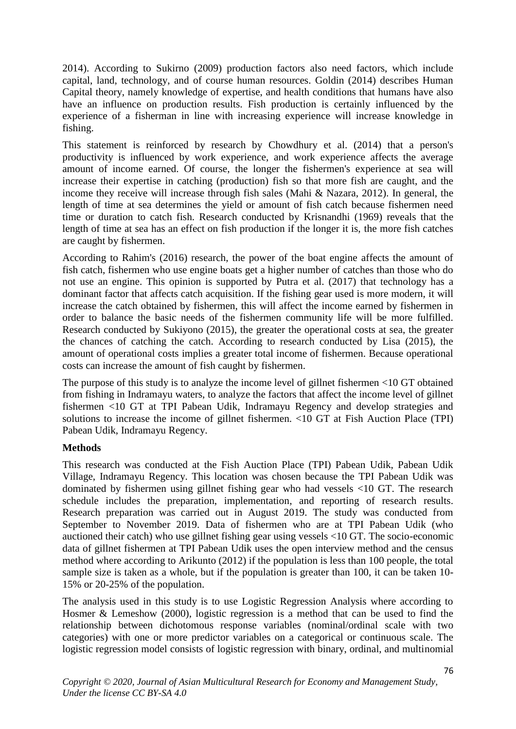2014). According to Sukirno (2009) production factors also need factors, which include capital, land, technology, and of course human resources. Goldin (2014) describes Human Capital theory, namely knowledge of expertise, and health conditions that humans have also have an influence on production results. Fish production is certainly influenced by the experience of a fisherman in line with increasing experience will increase knowledge in fishing.

This statement is reinforced by research by Chowdhury et al. (2014) that a person's productivity is influenced by work experience, and work experience affects the average amount of income earned. Of course, the longer the fishermen's experience at sea will increase their expertise in catching (production) fish so that more fish are caught, and the income they receive will increase through fish sales (Mahi & Nazara, 2012). In general, the length of time at sea determines the yield or amount of fish catch because fishermen need time or duration to catch fish. Research conducted by Krisnandhi (1969) reveals that the length of time at sea has an effect on fish production if the longer it is, the more fish catches are caught by fishermen.

According to Rahim's (2016) research, the power of the boat engine affects the amount of fish catch, fishermen who use engine boats get a higher number of catches than those who do not use an engine. This opinion is supported by Putra et al. (2017) that technology has a dominant factor that affects catch acquisition. If the fishing gear used is more modern, it will increase the catch obtained by fishermen, this will affect the income earned by fishermen in order to balance the basic needs of the fishermen community life will be more fulfilled. Research conducted by Sukiyono (2015), the greater the operational costs at sea, the greater the chances of catching the catch. According to research conducted by Lisa (2015), the amount of operational costs implies a greater total income of fishermen. Because operational costs can increase the amount of fish caught by fishermen.

The purpose of this study is to analyze the income level of gillnet fishermen <10 GT obtained from fishing in Indramayu waters, to analyze the factors that affect the income level of gillnet fishermen <10 GT at TPI Pabean Udik, Indramayu Regency and develop strategies and solutions to increase the income of gillnet fishermen. <10 GT at Fish Auction Place (TPI) Pabean Udik, Indramayu Regency.

### **Methods**

This research was conducted at the Fish Auction Place (TPI) Pabean Udik, Pabean Udik Village, Indramayu Regency. This location was chosen because the TPI Pabean Udik was dominated by fishermen using gillnet fishing gear who had vessels <10 GT. The research schedule includes the preparation, implementation, and reporting of research results. Research preparation was carried out in August 2019. The study was conducted from September to November 2019. Data of fishermen who are at TPI Pabean Udik (who auctioned their catch) who use gillnet fishing gear using vessels <10 GT. The socio-economic data of gillnet fishermen at TPI Pabean Udik uses the open interview method and the census method where according to Arikunto (2012) if the population is less than 100 people, the total sample size is taken as a whole, but if the population is greater than 100, it can be taken 10- 15% or 20-25% of the population.

The analysis used in this study is to use Logistic Regression Analysis where according to Hosmer & Lemeshow (2000), logistic regression is a method that can be used to find the relationship between dichotomous response variables (nominal/ordinal scale with two categories) with one or more predictor variables on a categorical or continuous scale. The logistic regression model consists of logistic regression with binary, ordinal, and multinomial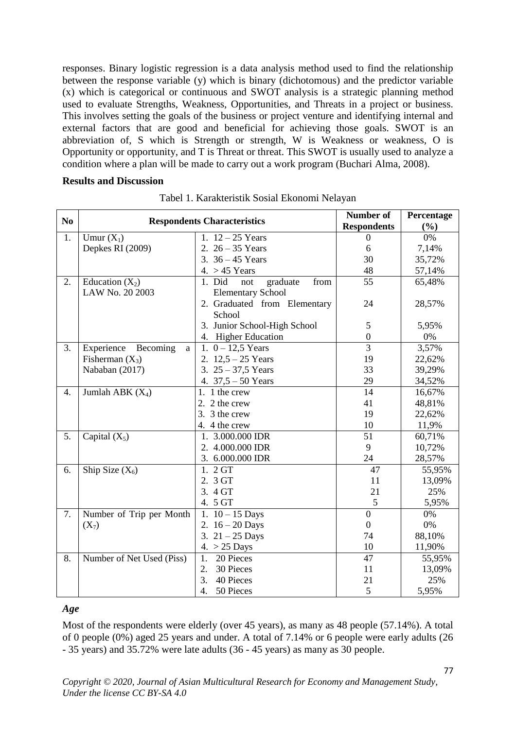responses. Binary logistic regression is a data analysis method used to find the relationship between the response variable (y) which is binary (dichotomous) and the predictor variable (x) which is categorical or continuous and SWOT analysis is a strategic planning method used to evaluate Strengths, Weakness, Opportunities, and Threats in a project or business. This involves setting the goals of the business or project venture and identifying internal and external factors that are good and beneficial for achieving those goals. SWOT is an abbreviation of, S which is Strength or strength, W is Weakness or weakness, O is Opportunity or opportunity, and T is Threat or threat. This SWOT is usually used to analyze a condition where a plan will be made to carry out a work program (Buchari Alma, 2008).

#### **Results and Discussion**

| N <sub>0</sub>   |                             | <b>Respondents Characteristics</b> | Number of<br><b>Respondents</b> | Percentage<br>(%) |
|------------------|-----------------------------|------------------------------------|---------------------------------|-------------------|
| 1.               | Umur $(X_1)$                | 1. $12 - 25$ Years                 | $\boldsymbol{0}$                | 0%                |
|                  | Depkes RI (2009)            | 2. $26 - 35$ Years                 | 6                               | 7,14%             |
|                  |                             | 3. $36 - 45$ Years                 | 30                              | 35,72%            |
|                  |                             | $4. > 45$ Years                    | 48                              | 57,14%            |
| 2.               | Education $(X_2)$           | 1. Did<br>graduate<br>from<br>not  | $\overline{55}$                 | 65,48%            |
|                  | LAW No. 20 2003             | <b>Elementary School</b>           |                                 |                   |
|                  |                             | 2. Graduated from Elementary       | 24                              | 28,57%            |
|                  |                             | School                             |                                 |                   |
|                  |                             | 3. Junior School-High School       | $\mathfrak{S}$                  | 5,95%             |
|                  |                             | 4. Higher Education                | $\boldsymbol{0}$                | $0\%$             |
| 3.               | Experience<br>Becoming<br>a | 1. $0 - 12.5$ Years                | $\overline{3}$                  | 3,57%             |
|                  | Fisherman $(X_3)$           | 2. $12,5 - 25$ Years               | 19                              | 22,62%            |
|                  | Nababan (2017)              | 3. $25 - 37,5$ Years               | 33                              | 39,29%            |
|                  |                             | 4. $37,5 - 50$ Years               | 29                              | 34,52%            |
| $\overline{4}$ . | Jumlah ABK $(X_4)$          | 1. 1 the crew                      | $\overline{14}$                 | 16,67%            |
|                  |                             | 2. 2 the crew                      | 41                              | 48,81%            |
|                  |                             | 3. 3 the crew                      | 19                              | 22,62%            |
|                  |                             | 4. 4 the crew                      | 10                              | 11,9%             |
| 5.               | Capital $(X_5)$             | 1. 3.000.000 IDR                   | $\overline{51}$                 | 60,71%            |
|                  |                             | 2. 4.000.000 IDR                   | 9                               | 10,72%            |
|                  |                             | 3. 6.000.000 IDR                   | 24                              | 28,57%            |
| 6.               | Ship Size $(X_6)$           | 1. 2 GT                            | 47                              | 55,95%            |
|                  |                             | 2. 3 GT                            | 11                              | 13,09%            |
|                  |                             | 3. 4 GT                            | 21                              | 25%               |
|                  |                             | 4. 5 GT                            | 5                               | 5,95%             |
| 7.               | Number of Trip per Month    | 1. $10 - 15$ Days                  | $\boldsymbol{0}$                | $0\%$             |
|                  | $(X_7)$                     | 2. $16 - 20$ Days                  | $\boldsymbol{0}$                | $0\%$             |
|                  |                             | 3. $21 - 25$ Days                  | 74                              | 88,10%            |
|                  |                             | 4. > 25 Days                       | 10                              | 11,90%            |
| 8.               | Number of Net Used (Piss)   | 20 Pieces<br>1.                    | 47                              | 55,95%            |
|                  |                             | 30 Pieces<br>2.                    | 11                              | 13,09%            |
|                  |                             | 3.<br>40 Pieces                    | 21                              | 25%               |
|                  |                             | $\overline{4}$ .<br>50 Pieces      | 5                               | 5,95%             |

Tabel 1. Karakteristik Sosial Ekonomi Nelayan

#### *Age*

Most of the respondents were elderly (over 45 years), as many as 48 people (57.14%). A total of 0 people (0%) aged 25 years and under. A total of 7.14% or 6 people were early adults (26 - 35 years) and 35.72% were late adults (36 - 45 years) as many as 30 people.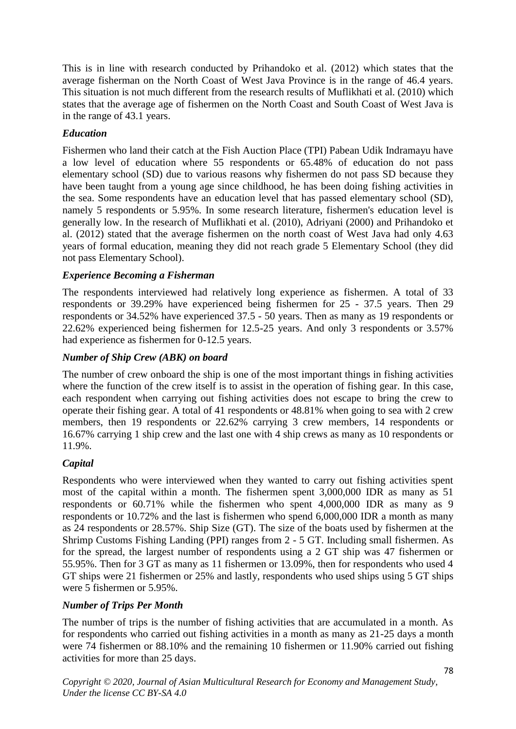This is in line with research conducted by Prihandoko et al. (2012) which states that the average fisherman on the North Coast of West Java Province is in the range of 46.4 years. This situation is not much different from the research results of Muflikhati et al. (2010) which states that the average age of fishermen on the North Coast and South Coast of West Java is in the range of 43.1 years.

# *Education*

Fishermen who land their catch at the Fish Auction Place (TPI) Pabean Udik Indramayu have a low level of education where 55 respondents or 65.48% of education do not pass elementary school (SD) due to various reasons why fishermen do not pass SD because they have been taught from a young age since childhood, he has been doing fishing activities in the sea. Some respondents have an education level that has passed elementary school (SD), namely 5 respondents or 5.95%. In some research literature, fishermen's education level is generally low. In the research of Muflikhati et al. (2010), Adriyani (2000) and Prihandoko et al. (2012) stated that the average fishermen on the north coast of West Java had only 4.63 years of formal education, meaning they did not reach grade 5 Elementary School (they did not pass Elementary School).

### *Experience Becoming a Fisherman*

The respondents interviewed had relatively long experience as fishermen. A total of 33 respondents or 39.29% have experienced being fishermen for 25 - 37.5 years. Then 29 respondents or 34.52% have experienced 37.5 - 50 years. Then as many as 19 respondents or 22.62% experienced being fishermen for 12.5-25 years. And only 3 respondents or 3.57% had experience as fishermen for 0-12.5 years.

### *Number of Ship Crew (ABK) on board*

The number of crew onboard the ship is one of the most important things in fishing activities where the function of the crew itself is to assist in the operation of fishing gear. In this case, each respondent when carrying out fishing activities does not escape to bring the crew to operate their fishing gear. A total of 41 respondents or 48.81% when going to sea with 2 crew members, then 19 respondents or 22.62% carrying 3 crew members, 14 respondents or 16.67% carrying 1 ship crew and the last one with 4 ship crews as many as 10 respondents or 11.9%.

### *Capital*

Respondents who were interviewed when they wanted to carry out fishing activities spent most of the capital within a month. The fishermen spent 3,000,000 IDR as many as 51 respondents or 60.71% while the fishermen who spent 4,000,000 IDR as many as 9 respondents or 10.72% and the last is fishermen who spend 6,000,000 IDR a month as many as 24 respondents or 28.57%. Ship Size (GT). The size of the boats used by fishermen at the Shrimp Customs Fishing Landing (PPI) ranges from 2 - 5 GT. Including small fishermen. As for the spread, the largest number of respondents using a 2 GT ship was 47 fishermen or 55.95%. Then for 3 GT as many as 11 fishermen or 13.09%, then for respondents who used 4 GT ships were 21 fishermen or 25% and lastly, respondents who used ships using 5 GT ships were 5 fishermen or 5.95%.

### *Number of Trips Per Month*

The number of trips is the number of fishing activities that are accumulated in a month. As for respondents who carried out fishing activities in a month as many as 21-25 days a month were 74 fishermen or 88.10% and the remaining 10 fishermen or 11.90% carried out fishing activities for more than 25 days.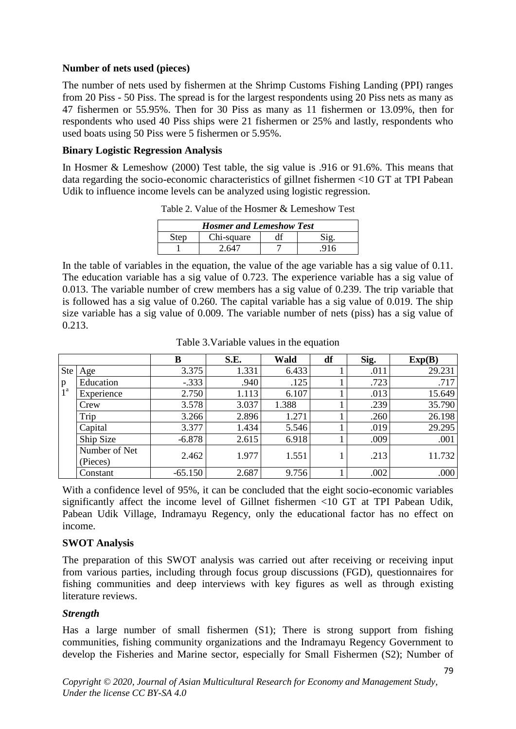### **Number of nets used (pieces)**

The number of nets used by fishermen at the Shrimp Customs Fishing Landing (PPI) ranges from 20 Piss - 50 Piss. The spread is for the largest respondents using 20 Piss nets as many as 47 fishermen or 55.95%. Then for 30 Piss as many as 11 fishermen or 13.09%, then for respondents who used 40 Piss ships were 21 fishermen or 25% and lastly, respondents who used boats using 50 Piss were 5 fishermen or 5.95%.

#### **Binary Logistic Regression Analysis**

In Hosmer & Lemeshow (2000) Test table, the sig value is .916 or 91.6%. This means that data regarding the socio-economic characteristics of gillnet fishermen <10 GT at TPI Pabean Udik to influence income levels can be analyzed using logistic regression.

| Tuble 2. Turned by the from the Lemon bond $\alpha$ |            |  |  |  |  |
|-----------------------------------------------------|------------|--|--|--|--|
| <b>Hosmer and Lemeshow Test</b>                     |            |  |  |  |  |
| Step                                                | Chi-square |  |  |  |  |
|                                                     |            |  |  |  |  |

Table 2. Value of the Hosmer & Lemeshow Test

In the table of variables in the equation, the value of the age variable has a sig value of 0.11. The education variable has a sig value of 0.723. The experience variable has a sig value of 0.013. The variable number of crew members has a sig value of 0.239. The trip variable that is followed has a sig value of 0.260. The capital variable has a sig value of 0.019. The ship size variable has a sig value of 0.009. The variable number of nets (piss) has a sig value of 0.213.

|                            |                           | B         | S.E.  | Wald  | df | Sig. | Exp(B) |
|----------------------------|---------------------------|-----------|-------|-------|----|------|--------|
| <b>Ste</b>                 | Age                       | 3.375     | 1.331 | 6.433 |    | .011 | 29.231 |
| $\frac{p}{1}$ <sup>a</sup> | Education                 | $-.333$   | .940  | .125  |    | .723 | .717   |
|                            | Experience                | 2.750     | 1.113 | 6.107 |    | .013 | 15.649 |
|                            | Crew                      | 3.578     | 3.037 | 1.388 |    | .239 | 35.790 |
|                            | Trip                      | 3.266     | 2.896 | 1.271 |    | .260 | 26.198 |
|                            | Capital                   | 3.377     | 1.434 | 5.546 |    | .019 | 29.295 |
|                            | Ship Size                 | $-6.878$  | 2.615 | 6.918 |    | .009 | .001   |
|                            | Number of Net<br>(Pieces) | 2.462     | 1.977 | 1.551 |    | .213 | 11.732 |
|                            | Constant                  | $-65.150$ | 2.687 | 9.756 |    | .002 | .000   |

Table 3.Variable values in the equation

With a confidence level of 95%, it can be concluded that the eight socio-economic variables significantly affect the income level of Gillnet fishermen <10 GT at TPI Pabean Udik, Pabean Udik Village, Indramayu Regency, only the educational factor has no effect on income.

### **SWOT Analysis**

The preparation of this SWOT analysis was carried out after receiving or receiving input from various parties, including through focus group discussions (FGD), questionnaires for fishing communities and deep interviews with key figures as well as through existing literature reviews.

### *Strength*

Has a large number of small fishermen (S1); There is strong support from fishing communities, fishing community organizations and the Indramayu Regency Government to develop the Fisheries and Marine sector, especially for Small Fishermen (S2); Number of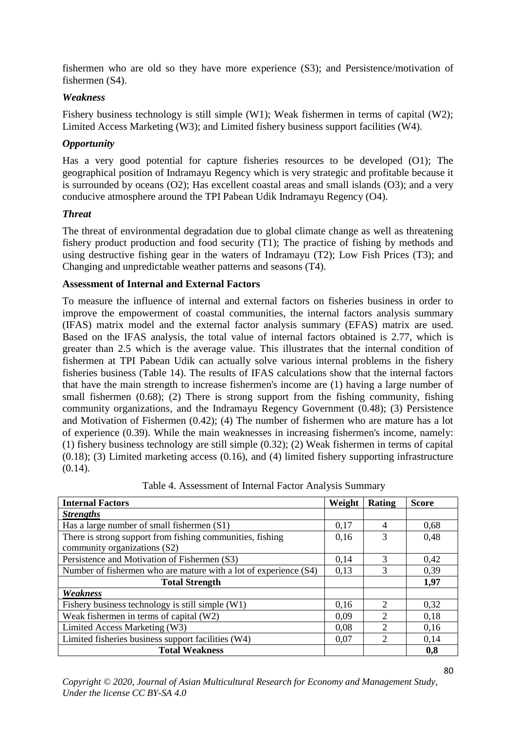fishermen who are old so they have more experience (S3); and Persistence/motivation of fishermen (S4).

## *Weakness*

Fishery business technology is still simple (W1); Weak fishermen in terms of capital (W2); Limited Access Marketing (W3); and Limited fishery business support facilities (W4).

# *Opportunity*

Has a very good potential for capture fisheries resources to be developed (O1); The geographical position of Indramayu Regency which is very strategic and profitable because it is surrounded by oceans (O2); Has excellent coastal areas and small islands (O3); and a very conducive atmosphere around the TPI Pabean Udik Indramayu Regency (O4).

## *Threat*

The threat of environmental degradation due to global climate change as well as threatening fishery product production and food security (T1); The practice of fishing by methods and using destructive fishing gear in the waters of Indramayu (T2); Low Fish Prices (T3); and Changing and unpredictable weather patterns and seasons (T4).

## **Assessment of Internal and External Factors**

To measure the influence of internal and external factors on fisheries business in order to improve the empowerment of coastal communities, the internal factors analysis summary (IFAS) matrix model and the external factor analysis summary (EFAS) matrix are used. Based on the IFAS analysis, the total value of internal factors obtained is 2.77, which is greater than 2.5 which is the average value. This illustrates that the internal condition of fishermen at TPI Pabean Udik can actually solve various internal problems in the fishery fisheries business (Table 14). The results of IFAS calculations show that the internal factors that have the main strength to increase fishermen's income are (1) having a large number of small fishermen (0.68); (2) There is strong support from the fishing community, fishing community organizations, and the Indramayu Regency Government (0.48); (3) Persistence and Motivation of Fishermen (0.42); (4) The number of fishermen who are mature has a lot of experience (0.39). While the main weaknesses in increasing fishermen's income, namely: (1) fishery business technology are still simple (0.32); (2) Weak fishermen in terms of capital (0.18); (3) Limited marketing access (0.16), and (4) limited fishery supporting infrastructure  $(0.14)$ .

| <b>Internal Factors</b>                                          | Weight | Rating        | <b>Score</b> |
|------------------------------------------------------------------|--------|---------------|--------------|
| <b>Strengths</b>                                                 |        |               |              |
| Has a large number of small fishermen (S1)                       | 0,17   |               | 0,68         |
| There is strong support from fishing communities, fishing        | 0,16   |               | 0,48         |
| community organizations (S2)                                     |        |               |              |
| Persistence and Motivation of Fishermen (S3)                     | 0.14   | $\mathcal{R}$ | 0,42         |
| Number of fishermen who are mature with a lot of experience (S4) |        |               | 0.39         |
| <b>Total Strength</b>                                            |        |               | 1,97         |
| Weakness                                                         |        |               |              |
| Fishery business technology is still simple (W1)                 | 0,16   | $\mathcal{D}$ | 0,32         |
| Weak fishermen in terms of capital (W2)                          | 0.09   |               | 0,18         |
| Limited Access Marketing (W3)                                    |        | ↑             | 0,16         |
| Limited fisheries business support facilities (W4)               |        |               | 0,14         |
| <b>Total Weakness</b>                                            |        |               | 0,8          |

Table 4. Assessment of Internal Factor Analysis Summary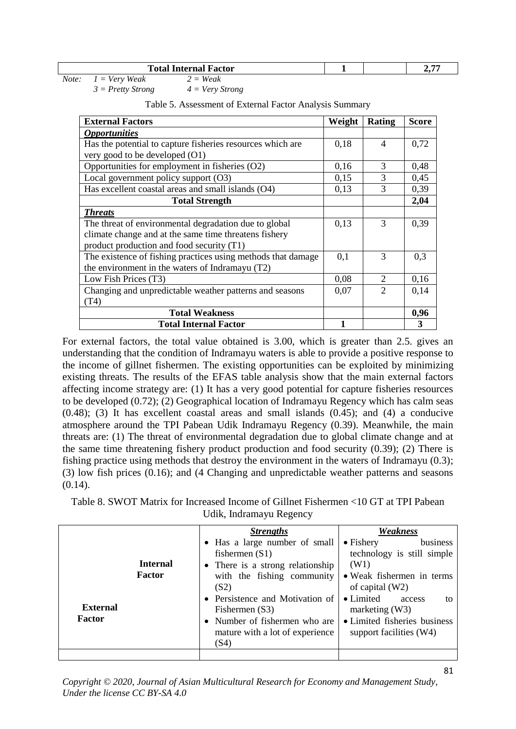|  | <b>Total</b><br>Factor<br>$\overline{\phantom{a}}$ . $\overline{\phantom{a}}$ . $\overline{\phantom{a}}$ . $\overline{\phantom{a}}$<br>цегиат г<br>ш |  |  | -- |
|--|------------------------------------------------------------------------------------------------------------------------------------------------------|--|--|----|
|--|------------------------------------------------------------------------------------------------------------------------------------------------------|--|--|----|

| Note:<br>$2 = Weak$<br>$1 = \text{Very Weak}$ |
|-----------------------------------------------|
|-----------------------------------------------|

*3 = Pretty Strong 4 = Very Strong*

| <b>External Factors</b>                                      | Weight | <b>Rating</b>               | <b>Score</b> |
|--------------------------------------------------------------|--------|-----------------------------|--------------|
| <i><b>Opportunities</b></i>                                  |        |                             |              |
| Has the potential to capture fisheries resources which are   | 0,18   | $\overline{4}$              | 0,72         |
| very good to be developed (O1)                               |        |                             |              |
| Opportunities for employment in fisheries (O2)               | 0,16   | 3                           | 0,48         |
| Local government policy support (O3)                         | 0,15   | 3                           | 0,45         |
| Has excellent coastal areas and small islands (O4)           | 0,13   | 3                           | 0,39         |
| <b>Total Strength</b>                                        |        |                             | 2,04         |
| <b>Threats</b>                                               |        |                             |              |
| The threat of environmental degradation due to global        | 0,13   | 3                           | 0,39         |
| climate change and at the same time threatens fishery        |        |                             |              |
| product production and food security (T1)                    |        |                             |              |
| The existence of fishing practices using methods that damage | 0,1    | 3                           | 0,3          |
| the environment in the waters of Indramayu (T2)              |        |                             |              |
| Low Fish Prices (T3)                                         | 0,08   | 2                           | 0,16         |
| Changing and unpredictable weather patterns and seasons      | 0,07   | $\mathcal{D}_{\mathcal{A}}$ | 0,14         |
| (T4)                                                         |        |                             |              |
| <b>Total Weakness</b>                                        |        |                             | 0,96         |
| <b>Total Internal Factor</b>                                 | 1      |                             | 3            |

Table 5. Assessment of External Factor Analysis Summary

For external factors, the total value obtained is 3.00, which is greater than 2.5. gives an understanding that the condition of Indramayu waters is able to provide a positive response to the income of gillnet fishermen. The existing opportunities can be exploited by minimizing existing threats. The results of the EFAS table analysis show that the main external factors affecting income strategy are: (1) It has a very good potential for capture fisheries resources to be developed (0.72); (2) Geographical location of Indramayu Regency which has calm seas (0.48); (3) It has excellent coastal areas and small islands (0.45); and (4) a conducive atmosphere around the TPI Pabean Udik Indramayu Regency (0.39). Meanwhile, the main threats are: (1) The threat of environmental degradation due to global climate change and at the same time threatening fishery product production and food security (0.39); (2) There is fishing practice using methods that destroy the environment in the waters of Indramayu (0.3); (3) low fish prices (0.16); and (4 Changing and unpredictable weather patterns and seasons (0.14).

Table 8. SWOT Matrix for Increased Income of Gillnet Fishermen <10 GT at TPI Pabean Udik, Indramayu Regency

| <b>Internal</b><br>Factor<br>External<br>Factor | <b>Strengths</b><br>• Has a large number of small<br>fishermen $(S1)$<br>• There is a strong relationship<br>with the fishing community<br>(S2)<br>• Persistence and Motivation of<br>Fishermen (S3)<br>• Number of fishermen who are | Weakness<br>business<br>$\bullet$ Fishery<br>technology is still simple<br>(W1)<br>• Weak fishermen in terms<br>of capital $(W2)$<br>• Limited<br>access<br>to<br>marketing $(W3)$<br>• Limited fisheries business |
|-------------------------------------------------|---------------------------------------------------------------------------------------------------------------------------------------------------------------------------------------------------------------------------------------|--------------------------------------------------------------------------------------------------------------------------------------------------------------------------------------------------------------------|
|                                                 | mature with a lot of experience<br>(S4)                                                                                                                                                                                               | support facilities (W4)                                                                                                                                                                                            |
|                                                 |                                                                                                                                                                                                                                       |                                                                                                                                                                                                                    |

*Copyright © 2020, Journal of Asian Multicultural Research for Economy and Management Study, Under the license CC BY-SA 4.0*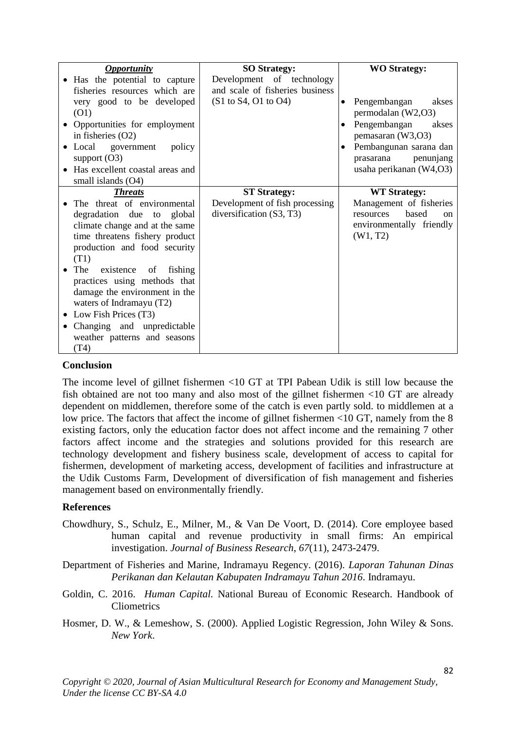|      | <b>Opportunity</b>                | <b>SO Strategy:</b>             | <b>WO Strategy:</b>                 |
|------|-----------------------------------|---------------------------------|-------------------------------------|
|      | • Has the potential to capture    | Development of technology       |                                     |
|      | fisheries resources which are     | and scale of fisheries business |                                     |
|      | very good to be developed         | (S1 to S4, O1 to O4)            | Pengembangan<br>akses<br>٠          |
| (O1) |                                   |                                 | permodalan (W2,O3)                  |
|      | Opportunities for employment      |                                 | Pengembangan<br>akses<br>$\bullet$  |
|      | in fisheries $(O2)$               |                                 | pemasaran (W3,O3)                   |
|      | • Local government<br>policy      |                                 | Pembangunan sarana dan<br>٠         |
|      | support $(O3)$                    |                                 | penunjang<br>prasarana              |
|      | • Has excellent coastal areas and |                                 | usaha perikanan (W4,O3)             |
|      | small islands (O4)                |                                 |                                     |
|      | <b>Threats</b>                    | <b>ST Strategy:</b>             | <b>WT Strategy:</b>                 |
|      | The threat of environmental       | Development of fish processing  | Management of fisheries             |
|      | degradation due to global         | diversification $(S3, T3)$      | based<br>resources<br><sub>on</sub> |
|      | climate change and at the same    |                                 | environmentally friendly            |
|      | time threatens fishery product    |                                 | (W1, T2)                            |
|      | production and food security      |                                 |                                     |
| (T1) |                                   |                                 |                                     |
| The  | existence<br>fishing<br>of        |                                 |                                     |
|      | practices using methods that      |                                 |                                     |
|      | damage the environment in the     |                                 |                                     |
|      | waters of Indramayu (T2)          |                                 |                                     |
| ٠    | Low Fish Prices (T3)              |                                 |                                     |
|      | Changing and unpredictable        |                                 |                                     |
|      | weather patterns and seasons      |                                 |                                     |
| (T4) |                                   |                                 |                                     |

#### **Conclusion**

The income level of gillnet fishermen <10 GT at TPI Pabean Udik is still low because the fish obtained are not too many and also most of the gillnet fishermen <10 GT are already dependent on middlemen, therefore some of the catch is even partly sold. to middlemen at a low price. The factors that affect the income of gillnet fishermen <10 GT, namely from the 8 existing factors, only the education factor does not affect income and the remaining 7 other factors affect income and the strategies and solutions provided for this research are technology development and fishery business scale, development of access to capital for fishermen, development of marketing access, development of facilities and infrastructure at the Udik Customs Farm, Development of diversification of fish management and fisheries management based on environmentally friendly.

#### **References**

- Chowdhury, S., Schulz, E., Milner, M., & Van De Voort, D. (2014). Core employee based human capital and revenue productivity in small firms: An empirical investigation. *Journal of Business Research*, *67*(11), 2473-2479.
- Department of Fisheries and Marine, Indramayu Regency. (2016). *Laporan Tahunan Dinas Perikanan dan Kelautan Kabupaten Indramayu Tahun 2016*. Indramayu.
- Goldin, C. 2016. *Human Capital.* National Bureau of Economic Research. Handbook of **Cliometrics**
- Hosmer, D. W., & Lemeshow, S. (2000). Applied Logistic Regression, John Wiley & Sons. *New York*.